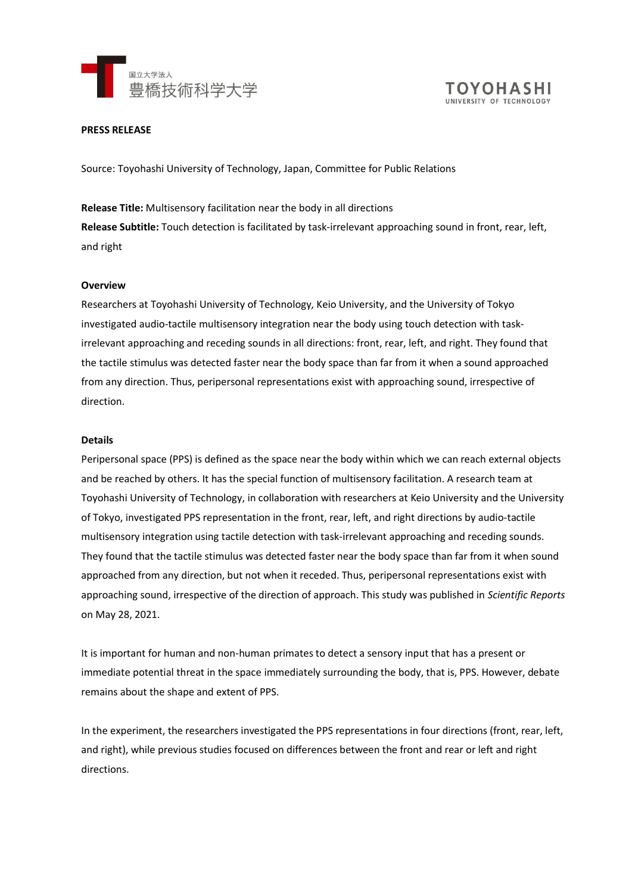



### **PRESS RELEASE**

Source: Toyohashi University of Technology, Japan, Committee for Public Relations

**Release Title:** Multisensory facilitation near the body in all directions **Release Subtitle:** Touch detection is facilitated by task-irrelevant approaching sound in front, rear, left, and right

### **Overview**

Researchers at Toyohashi University of Technology, Keio University, and the University of Tokyo investigated audio-tactile multisensory integration near the body using touch detection with taskirrelevant approaching and receding sounds in all directions: front, rear, left, and right. They found that the tactile stimulus was detected faster near the body space than far from it when a sound approached from any direction. Thus, peripersonal representations exist with approaching sound, irrespective of direction.

### **Details**

Peripersonal space (PPS) is defined as the space near the body within which we can reach external objects and be reached by others. It has the special function of multisensory facilitation. A research team at Toyohashi University of Technology, in collaboration with researchers at Keio University and the University of Tokyo, investigated PPS representation in the front, rear, left, and right directions by audio-tactile multisensory integration using tactile detection with task-irrelevant approaching and receding sounds. They found that the tactile stimulus was detected faster near the body space than far from it when sound approached from any direction, but not when it receded. Thus, peripersonal representations exist with approaching sound, irrespective of the direction of approach. This study was published in *Scientific Reports* on May 28, 2021.

It is important for human and non-human primates to detect a sensory input that has a present or immediate potential threat in the space immediately surrounding the body, that is, PPS. However, debate remains about the shape and extent of PPS.

In the experiment, the researchers investigated the PPS representations in four directions (front, rear, left, and right), while previous studies focused on differences between the front and rear or left and right directions.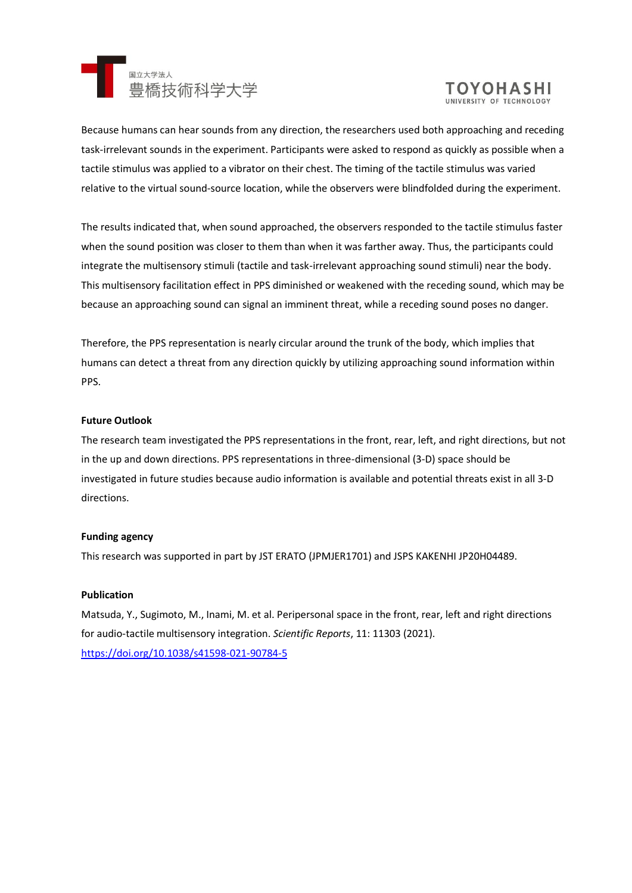



Because humans can hear sounds from any direction, the researchers used both approaching and receding task-irrelevant sounds in the experiment. Participants were asked to respond as quickly as possible when a tactile stimulus was applied to a vibrator on their chest. The timing of the tactile stimulus was varied relative to the virtual sound-source location, while the observers were blindfolded during the experiment.

The results indicated that, when sound approached, the observers responded to the tactile stimulus faster when the sound position was closer to them than when it was farther away. Thus, the participants could integrate the multisensory stimuli (tactile and task-irrelevant approaching sound stimuli) near the body. This multisensory facilitation effect in PPS diminished or weakened with the receding sound, which may be because an approaching sound can signal an imminent threat, while a receding sound poses no danger.

Therefore, the PPS representation is nearly circular around the trunk of the body, which implies that humans can detect a threat from any direction quickly by utilizing approaching sound information within PPS.

# **Future Outlook**

The research team investigated the PPS representations in the front, rear, left, and right directions, but not in the up and down directions. PPS representations in three-dimensional (3-D) space should be investigated in future studies because audio information is available and potential threats exist in all 3-D directions.

## **Funding agency**

This research was supported in part by JST ERATO (JPMJER1701) and JSPS KAKENHI JP20H04489.

## **Publication**

Matsuda, Y., Sugimoto, M., Inami, M. et al. Peripersonal space in the front, rear, left and right directions for audio-tactile multisensory integration. *Scientific Reports*, 11: 11303 (2021). <https://doi.org/10.1038/s41598-021-90784-5>